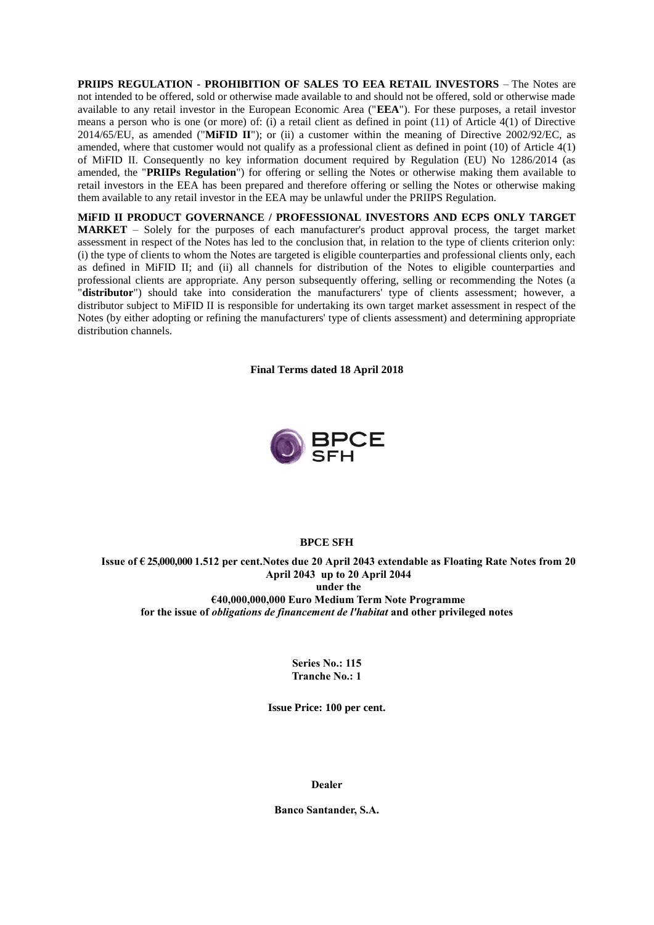**PRIIPS REGULATION - PROHIBITION OF SALES TO EEA RETAIL INVESTORS** – The Notes are not intended to be offered, sold or otherwise made available to and should not be offered, sold or otherwise made available to any retail investor in the European Economic Area ("**EEA**"). For these purposes, a retail investor means a person who is one (or more) of: (i) a retail client as defined in point (11) of Article 4(1) of Directive 2014/65/EU, as amended ("**MiFID II**"); or (ii) a customer within the meaning of Directive 2002/92/EC, as amended, where that customer would not qualify as a professional client as defined in point (10) of Article 4(1) of MiFID II. Consequently no key information document required by Regulation (EU) No 1286/2014 (as amended, the "**PRIIPs Regulation**") for offering or selling the Notes or otherwise making them available to retail investors in the EEA has been prepared and therefore offering or selling the Notes or otherwise making them available to any retail investor in the EEA may be unlawful under the PRIIPS Regulation.

**MiFID II PRODUCT GOVERNANCE / PROFESSIONAL INVESTORS AND ECPS ONLY TARGET MARKET** – Solely for the purposes of each manufacturer's product approval process, the target market assessment in respect of the Notes has led to the conclusion that, in relation to the type of clients criterion only: (i) the type of clients to whom the Notes are targeted is eligible counterparties and professional clients only, each as defined in MiFID II; and (ii) all channels for distribution of the Notes to eligible counterparties and professional clients are appropriate. Any person subsequently offering, selling or recommending the Notes (a "**distributor**") should take into consideration the manufacturers' type of clients assessment; however, a distributor subject to MiFID II is responsible for undertaking its own target market assessment in respect of the Notes (by either adopting or refining the manufacturers' type of clients assessment) and determining appropriate distribution channels.

**Final Terms dated 18 April 2018**



### **BPCE SFH**

**Issue of € 25,000,000 1.512 per cent.Notes due 20 April 2043 extendable as Floating Rate Notes from 20 April 2043 up to 20 April 2044 under the €40,000,000,000 Euro Medium Term Note Programme for the issue of** *obligations de financement de l'habitat* **and other privileged notes**

> **Series No.: 115 Tranche No.: 1**

**Issue Price: 100 per cent.**

**Dealer**

**Banco Santander, S.A.**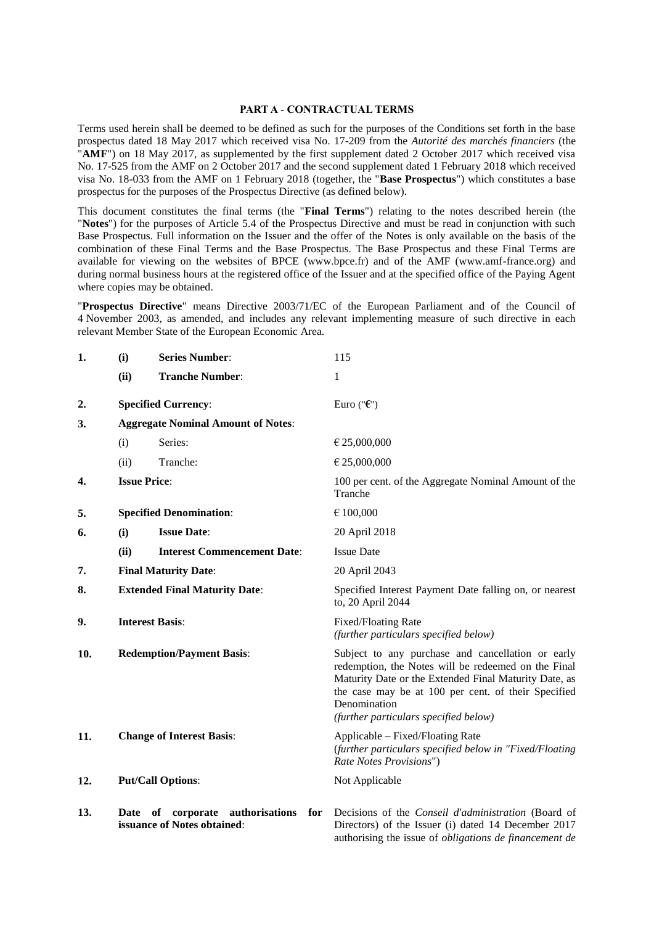#### **PART A - CONTRACTUAL TERMS**

Terms used herein shall be deemed to be defined as such for the purposes of the Conditions set forth in the base prospectus dated 18 May 2017 which received visa No. 17-209 from the *Autorité des marchés financiers* (the "**AMF**") on 18 May 2017, as supplemented by the first supplement dated 2 October 2017 which received visa No. 17-525 from the AMF on 2 October 2017 and the second supplement dated 1 February 2018 which received visa No. 18-033 from the AMF on 1 February 2018 (together, the "**Base Prospectus**") which constitutes a base prospectus for the purposes of the Prospectus Directive (as defined below).

This document constitutes the final terms (the "**Final Terms**") relating to the notes described herein (the "**Notes**") for the purposes of Article 5.4 of the Prospectus Directive and must be read in conjunction with such Base Prospectus. Full information on the Issuer and the offer of the Notes is only available on the basis of the combination of these Final Terms and the Base Prospectus. The Base Prospectus and these Final Terms are available for viewing on the websites of BPCE (www.bpce.fr) and of the AMF (www.amf-france.org) and during normal business hours at the registered office of the Issuer and at the specified office of the Paying Agent where copies may be obtained.

"**Prospectus Directive**" means Directive 2003/71/EC of the European Parliament and of the Council of 4 November 2003, as amended, and includes any relevant implementing measure of such directive in each relevant Member State of the European Economic Area.

| 1.  | (i)                                  | <b>Series Number:</b>                                             | 115                                                                                                                                                                                                                                                                               |
|-----|--------------------------------------|-------------------------------------------------------------------|-----------------------------------------------------------------------------------------------------------------------------------------------------------------------------------------------------------------------------------------------------------------------------------|
|     | (ii)                                 | <b>Tranche Number:</b>                                            | 1                                                                                                                                                                                                                                                                                 |
| 2.  |                                      | <b>Specified Currency:</b>                                        | Euro (" $\epsilon$ ")                                                                                                                                                                                                                                                             |
| 3.  |                                      | <b>Aggregate Nominal Amount of Notes:</b>                         |                                                                                                                                                                                                                                                                                   |
|     | (i)                                  | Series:                                                           | € 25,000,000                                                                                                                                                                                                                                                                      |
|     | (ii)                                 | Tranche:                                                          | € 25,000,000                                                                                                                                                                                                                                                                      |
| 4.  |                                      | <b>Issue Price:</b>                                               | 100 per cent. of the Aggregate Nominal Amount of the<br>Tranche                                                                                                                                                                                                                   |
| 5.  |                                      | <b>Specified Denomination:</b>                                    | € 100,000                                                                                                                                                                                                                                                                         |
| 6.  | (i)                                  | <b>Issue Date:</b>                                                | 20 April 2018                                                                                                                                                                                                                                                                     |
|     | (ii)                                 | <b>Interest Commencement Date:</b>                                | <b>Issue Date</b>                                                                                                                                                                                                                                                                 |
| 7.  | <b>Final Maturity Date:</b>          |                                                                   | 20 April 2043                                                                                                                                                                                                                                                                     |
| 8.  | <b>Extended Final Maturity Date:</b> |                                                                   | Specified Interest Payment Date falling on, or nearest<br>to, 20 April 2044                                                                                                                                                                                                       |
| 9.  | <b>Interest Basis:</b>               |                                                                   | Fixed/Floating Rate<br>(further particulars specified below)                                                                                                                                                                                                                      |
| 10. | <b>Redemption/Payment Basis:</b>     |                                                                   | Subject to any purchase and cancellation or early<br>redemption, the Notes will be redeemed on the Final<br>Maturity Date or the Extended Final Maturity Date, as<br>the case may be at 100 per cent. of their Specified<br>Denomination<br>(further particulars specified below) |
| 11. |                                      | <b>Change of Interest Basis:</b>                                  | Applicable – Fixed/Floating Rate<br>(further particulars specified below in "Fixed/Floating<br>Rate Notes Provisions")                                                                                                                                                            |
| 12. |                                      | <b>Put/Call Options:</b>                                          | Not Applicable                                                                                                                                                                                                                                                                    |
| 13. | Date                                 | of corporate authorisations<br>for<br>issuance of Notes obtained: | Decisions of the Conseil d'administration (Board of<br>Directors) of the Issuer (i) dated 14 December 2017<br>authorising the issue of <i>obligations</i> de financement de                                                                                                       |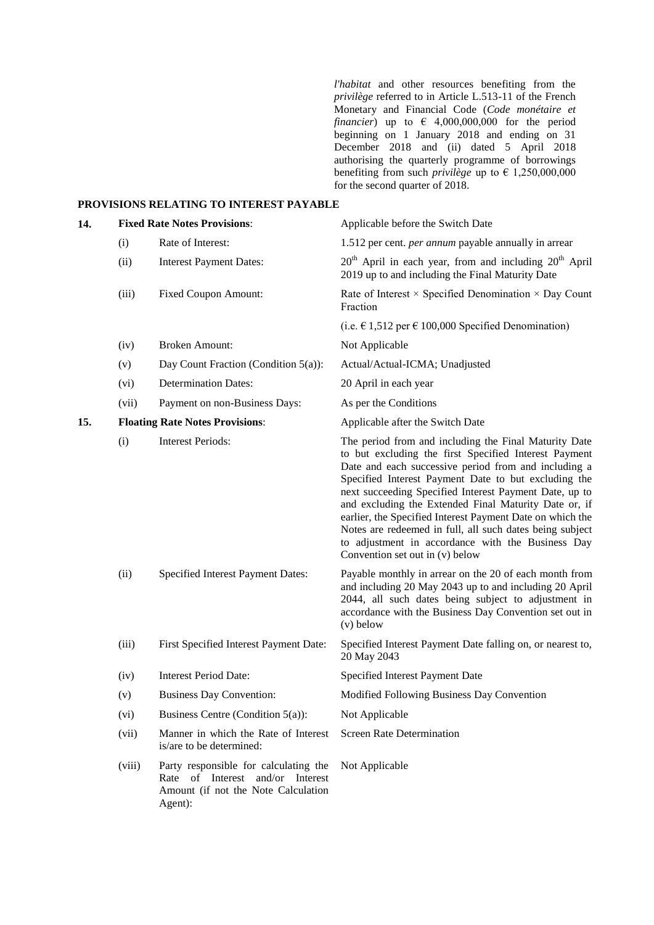*l'habitat* and other resources benefiting from the *privilège* referred to in Article L.513-11 of the French Monetary and Financial Code (*Code monétaire et financier*) up to  $\epsilon$  4,000,000,000 for the period beginning on 1 January 2018 and ending on 31 December 2018 and (ii) dated 5 April 2018 authorising the quarterly programme of borrowings benefiting from such *privilège* up to  $\epsilon$  1,250,000,000 for the second quarter of 2018.

### **PROVISIONS RELATING TO INTEREST PAYABLE**

| 14. |        | <b>Fixed Rate Notes Provisions:</b>                                                                                         | Applicable before the Switch Date                                                                                                                                                                                                                                                                                                                                                                                                                                                                                                                                  |
|-----|--------|-----------------------------------------------------------------------------------------------------------------------------|--------------------------------------------------------------------------------------------------------------------------------------------------------------------------------------------------------------------------------------------------------------------------------------------------------------------------------------------------------------------------------------------------------------------------------------------------------------------------------------------------------------------------------------------------------------------|
|     | (i)    | Rate of Interest:                                                                                                           | 1.512 per cent. <i>per annum</i> payable annually in arrear                                                                                                                                                                                                                                                                                                                                                                                                                                                                                                        |
|     | (ii)   | <b>Interest Payment Dates:</b>                                                                                              | 20 <sup>th</sup> April in each year, from and including 20 <sup>th</sup> April<br>2019 up to and including the Final Maturity Date                                                                                                                                                                                                                                                                                                                                                                                                                                 |
|     | (iii)  | <b>Fixed Coupon Amount:</b>                                                                                                 | Rate of Interest $\times$ Specified Denomination $\times$ Day Count<br>Fraction                                                                                                                                                                                                                                                                                                                                                                                                                                                                                    |
|     |        |                                                                                                                             | (i.e. € 1,512 per € 100,000 Specified Denomination)                                                                                                                                                                                                                                                                                                                                                                                                                                                                                                                |
|     | (iv)   | <b>Broken Amount:</b>                                                                                                       | Not Applicable                                                                                                                                                                                                                                                                                                                                                                                                                                                                                                                                                     |
|     | (v)    | Day Count Fraction (Condition $5(a)$ ):                                                                                     | Actual/Actual-ICMA; Unadjusted                                                                                                                                                                                                                                                                                                                                                                                                                                                                                                                                     |
|     | (vi)   | <b>Determination Dates:</b>                                                                                                 | 20 April in each year                                                                                                                                                                                                                                                                                                                                                                                                                                                                                                                                              |
|     | (vii)  | Payment on non-Business Days:                                                                                               | As per the Conditions                                                                                                                                                                                                                                                                                                                                                                                                                                                                                                                                              |
| 15. |        | <b>Floating Rate Notes Provisions:</b>                                                                                      | Applicable after the Switch Date                                                                                                                                                                                                                                                                                                                                                                                                                                                                                                                                   |
|     | (i)    | <b>Interest Periods:</b>                                                                                                    | The period from and including the Final Maturity Date<br>to but excluding the first Specified Interest Payment<br>Date and each successive period from and including a<br>Specified Interest Payment Date to but excluding the<br>next succeeding Specified Interest Payment Date, up to<br>and excluding the Extended Final Maturity Date or, if<br>earlier, the Specified Interest Payment Date on which the<br>Notes are redeemed in full, all such dates being subject<br>to adjustment in accordance with the Business Day<br>Convention set out in (v) below |
|     | (ii)   | Specified Interest Payment Dates:                                                                                           | Payable monthly in arrear on the 20 of each month from<br>and including 20 May 2043 up to and including 20 April<br>2044, all such dates being subject to adjustment in<br>accordance with the Business Day Convention set out in<br>$(v)$ below                                                                                                                                                                                                                                                                                                                   |
|     | (iii)  | First Specified Interest Payment Date:                                                                                      | Specified Interest Payment Date falling on, or nearest to,<br>20 May 2043                                                                                                                                                                                                                                                                                                                                                                                                                                                                                          |
|     | (iv)   | <b>Interest Period Date:</b>                                                                                                | Specified Interest Payment Date                                                                                                                                                                                                                                                                                                                                                                                                                                                                                                                                    |
|     | (v)    | <b>Business Day Convention:</b>                                                                                             | Modified Following Business Day Convention                                                                                                                                                                                                                                                                                                                                                                                                                                                                                                                         |
|     | (vi)   | Business Centre (Condition 5(a)):                                                                                           | Not Applicable                                                                                                                                                                                                                                                                                                                                                                                                                                                                                                                                                     |
|     | (vii)  | Manner in which the Rate of Interest<br>is/are to be determined:                                                            | <b>Screen Rate Determination</b>                                                                                                                                                                                                                                                                                                                                                                                                                                                                                                                                   |
|     | (viii) | Party responsible for calculating the<br>Rate of Interest and/or Interest<br>Amount (if not the Note Calculation<br>Agent): | Not Applicable                                                                                                                                                                                                                                                                                                                                                                                                                                                                                                                                                     |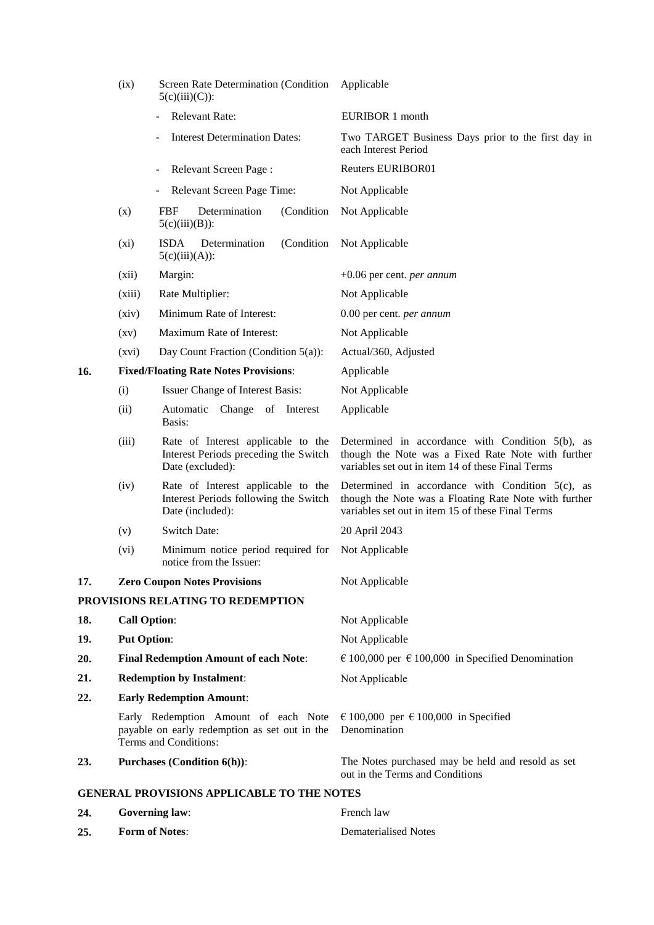|     | (ix)                                         | Screen Rate Determination (Condition<br>$5(c)(iii)(C))$ :                                                      | Applicable                                                                                                                                                        |
|-----|----------------------------------------------|----------------------------------------------------------------------------------------------------------------|-------------------------------------------------------------------------------------------------------------------------------------------------------------------|
|     |                                              | <b>Relevant Rate:</b>                                                                                          | EURIBOR 1 month                                                                                                                                                   |
|     |                                              | <b>Interest Determination Dates:</b>                                                                           | Two TARGET Business Days prior to the first day in<br>each Interest Period                                                                                        |
|     |                                              | Relevant Screen Page:<br>$\qquad \qquad \blacksquare$                                                          | Reuters EURIBOR01                                                                                                                                                 |
|     |                                              | Relevant Screen Page Time:                                                                                     | Not Applicable                                                                                                                                                    |
|     | (x)                                          | Determination<br>(Condition<br><b>FBF</b><br>$5(c)(iii)(B))$ :                                                 | Not Applicable                                                                                                                                                    |
|     | $(x_i)$                                      | Determination<br>(Condition<br><b>ISDA</b><br>$5(c)(iii)(A))$ :                                                | Not Applicable                                                                                                                                                    |
|     | (xii)                                        | Margin:                                                                                                        | $+0.06$ per cent. <i>per annum</i>                                                                                                                                |
|     | (xiii)                                       | Rate Multiplier:                                                                                               | Not Applicable                                                                                                                                                    |
|     | (xiv)                                        | Minimum Rate of Interest:                                                                                      | 0.00 per cent. <i>per annum</i>                                                                                                                                   |
|     | $\left( xy\right)$                           | Maximum Rate of Interest:                                                                                      | Not Applicable                                                                                                                                                    |
|     | (xvi)                                        | Day Count Fraction (Condition $5(a)$ ):                                                                        | Actual/360, Adjusted                                                                                                                                              |
| 16. |                                              | <b>Fixed/Floating Rate Notes Provisions:</b>                                                                   | Applicable                                                                                                                                                        |
|     | (i)                                          | Issuer Change of Interest Basis:                                                                               | Not Applicable                                                                                                                                                    |
|     | (ii)                                         | Automatic Change of Interest<br>Basis:                                                                         | Applicable                                                                                                                                                        |
|     | (iii)                                        | Rate of Interest applicable to the<br>Interest Periods preceding the Switch<br>Date (excluded):                | Determined in accordance with Condition $5(b)$ , as<br>though the Note was a Fixed Rate Note with further<br>variables set out in item 14 of these Final Terms    |
|     | (iv)                                         | Rate of Interest applicable to the<br>Interest Periods following the Switch<br>Date (included):                | Determined in accordance with Condition $5(c)$ , as<br>though the Note was a Floating Rate Note with further<br>variables set out in item 15 of these Final Terms |
|     | (v)                                          | <b>Switch Date:</b>                                                                                            | 20 April 2043                                                                                                                                                     |
|     | (vi)                                         | Minimum notice period required for<br>notice from the Issuer:                                                  | Not Applicable                                                                                                                                                    |
| 17. |                                              | <b>Zero Coupon Notes Provisions</b>                                                                            | Not Applicable                                                                                                                                                    |
|     |                                              | PROVISIONS RELATING TO REDEMPTION                                                                              |                                                                                                                                                                   |
| 18. | <b>Call Option:</b>                          |                                                                                                                | Not Applicable                                                                                                                                                    |
| 19. | <b>Put Option:</b>                           |                                                                                                                | Not Applicable                                                                                                                                                    |
| 20. | <b>Final Redemption Amount of each Note:</b> |                                                                                                                | € 100,000 per € 100,000 in Specified Denomination                                                                                                                 |
| 21. | <b>Redemption by Instalment:</b>             |                                                                                                                | Not Applicable                                                                                                                                                    |
| 22. | <b>Early Redemption Amount:</b>              |                                                                                                                |                                                                                                                                                                   |
|     |                                              | Early Redemption Amount of each Note<br>payable on early redemption as set out in the<br>Terms and Conditions: | € 100,000 per € 100,000 in Specified<br>Denomination                                                                                                              |
| 23. |                                              | <b>Purchases (Condition 6(h)):</b>                                                                             | The Notes purchased may be held and resold as set<br>out in the Terms and Conditions                                                                              |
|     |                                              | <b>GENERAL PROVISIONS APPLICABLE TO THE NOTES</b>                                                              |                                                                                                                                                                   |
| 24. |                                              | <b>Governing law:</b>                                                                                          | French law                                                                                                                                                        |

**25. Form of Notes**: Dematerialised Notes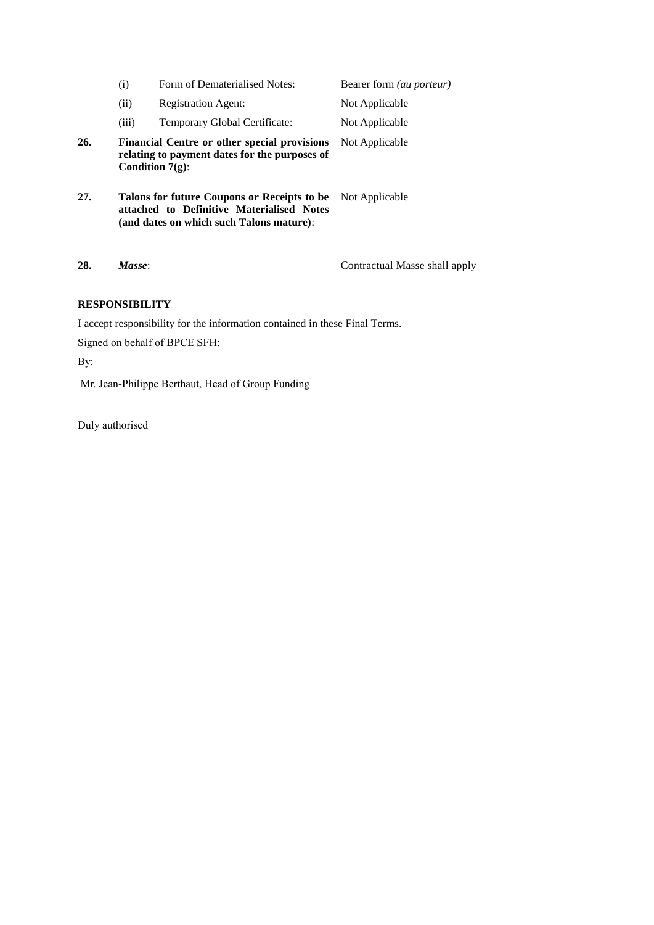|     | (i)                   | Form of Dematerialised Notes:                                                                                                        | Bearer form (au porteur)      |
|-----|-----------------------|--------------------------------------------------------------------------------------------------------------------------------------|-------------------------------|
|     | (ii)                  | <b>Registration Agent:</b>                                                                                                           | Not Applicable                |
|     | (iii)                 | Temporary Global Certificate:                                                                                                        | Not Applicable                |
| 26. |                       | Financial Centre or other special provisions<br>relating to payment dates for the purposes of<br>Condition $7(g)$ :                  | Not Applicable                |
| 27. |                       | Talons for future Coupons or Receipts to be<br>attached to Definitive Materialised Notes<br>(and dates on which such Talons mature): | Not Applicable                |
| 28. | Masse:                |                                                                                                                                      | Contractual Masse shall apply |
|     | <b>RESPONSIBILITY</b> |                                                                                                                                      |                               |
|     |                       | I accept responsibility for the information contained in these Final Terms.                                                          |                               |
|     |                       | Signed on behalf of BPCE SFH:                                                                                                        |                               |
| By: |                       |                                                                                                                                      |                               |
|     |                       | Mr. Jean-Philippe Berthaut, Head of Group Funding                                                                                    |                               |

Duly authorised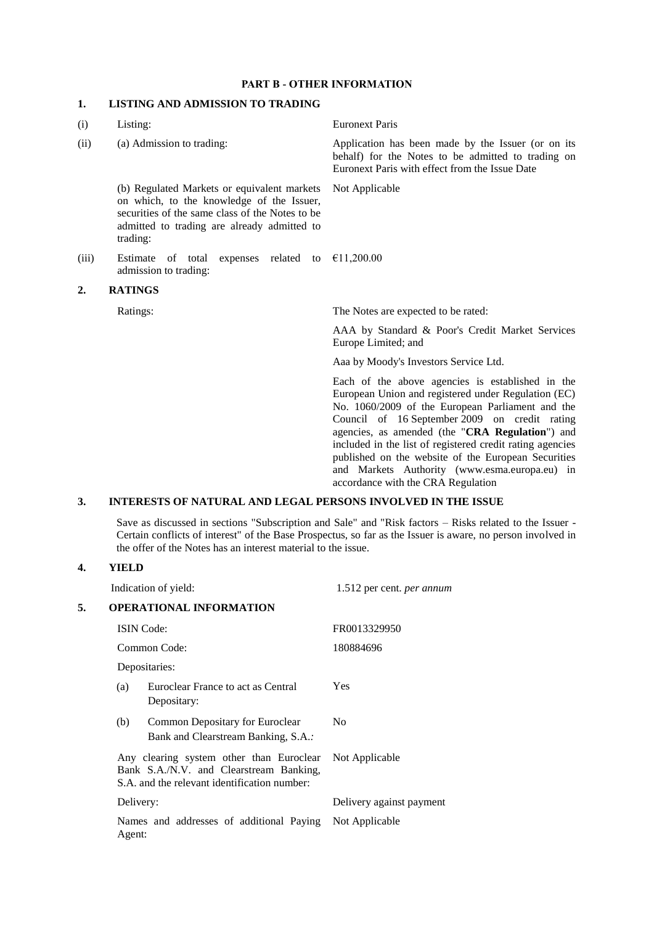### **PART B - OTHER INFORMATION**

# **1. LISTING AND ADMISSION TO TRADING**

| (i)   | Listing:                                                                                                                                                                                               | <b>Euronext Paris</b>                                                                                                                                                                                                                                                                                                                                                                                                                                                      |
|-------|--------------------------------------------------------------------------------------------------------------------------------------------------------------------------------------------------------|----------------------------------------------------------------------------------------------------------------------------------------------------------------------------------------------------------------------------------------------------------------------------------------------------------------------------------------------------------------------------------------------------------------------------------------------------------------------------|
| (ii)  | (a) Admission to trading:                                                                                                                                                                              | Application has been made by the Issuer (or on its<br>behalf) for the Notes to be admitted to trading on<br>Euronext Paris with effect from the Issue Date                                                                                                                                                                                                                                                                                                                 |
|       | (b) Regulated Markets or equivalent markets<br>on which, to the knowledge of the Issuer,<br>securities of the same class of the Notes to be<br>admitted to trading are already admitted to<br>trading: | Not Applicable                                                                                                                                                                                                                                                                                                                                                                                                                                                             |
| (iii) | expenses related to $\epsilon$ 11,200.00<br>Estimate of total<br>admission to trading:                                                                                                                 |                                                                                                                                                                                                                                                                                                                                                                                                                                                                            |
| 2.    | <b>RATINGS</b>                                                                                                                                                                                         |                                                                                                                                                                                                                                                                                                                                                                                                                                                                            |
|       | Ratings:                                                                                                                                                                                               | The Notes are expected to be rated:                                                                                                                                                                                                                                                                                                                                                                                                                                        |
|       |                                                                                                                                                                                                        | AAA by Standard & Poor's Credit Market Services<br>Europe Limited; and                                                                                                                                                                                                                                                                                                                                                                                                     |
|       |                                                                                                                                                                                                        | Aaa by Moody's Investors Service Ltd.                                                                                                                                                                                                                                                                                                                                                                                                                                      |
|       |                                                                                                                                                                                                        | Each of the above agencies is established in the<br>European Union and registered under Regulation (EC)<br>No. 1060/2009 of the European Parliament and the<br>Council of 16 September 2009 on credit rating<br>agencies, as amended (the "CRA Regulation") and<br>included in the list of registered credit rating agencies<br>published on the website of the European Securities<br>and Markets Authority (www.esma.europa.eu) in<br>accordance with the CRA Regulation |
| 3.    | <b>INTERESTS OF NATURAL AND LEGAL PERSONS INVOLVED IN THE ISSUE</b>                                                                                                                                    |                                                                                                                                                                                                                                                                                                                                                                                                                                                                            |

Save as discussed in sections "Subscription and Sale" and "Risk factors – Risks related to the Issuer - Certain conflicts of interest" of the Base Prospectus, so far as the Issuer is aware, no person involved in the offer of the Notes has an interest material to the issue.

# **4. YIELD**

|                                      |           | Indication of yield:                                                                                                                | 1.512 per cent. <i>per annum</i> |
|--------------------------------------|-----------|-------------------------------------------------------------------------------------------------------------------------------------|----------------------------------|
| <b>OPERATIONAL INFORMATION</b><br>5. |           |                                                                                                                                     |                                  |
|                                      |           | <b>ISIN</b> Code:                                                                                                                   | FR0013329950                     |
|                                      |           | Common Code:                                                                                                                        | 180884696                        |
|                                      |           | Depositaries:                                                                                                                       |                                  |
|                                      | (a)       | Euroclear France to act as Central<br>Depositary:                                                                                   | Yes                              |
|                                      | (b)       | Common Depositary for Euroclear<br>Bank and Clearstream Banking, S.A.:                                                              | N <sub>0</sub>                   |
|                                      |           | Any clearing system other than Euroclear<br>Bank S.A./N.V. and Clearstream Banking,<br>S.A. and the relevant identification number: | Not Applicable                   |
|                                      | Delivery: |                                                                                                                                     | Delivery against payment         |
|                                      | Agent:    | Names and addresses of additional Paying                                                                                            | Not Applicable                   |